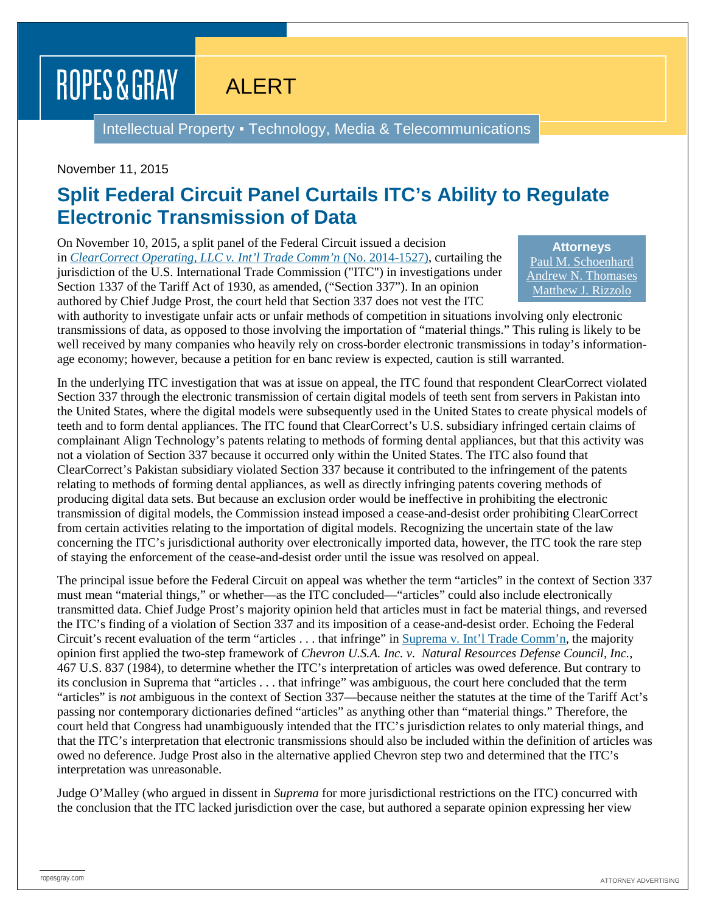## ROPES & GRAY

ALERT

Intellectual Property ▪ Technology, Media & Telecommunications

## November 11, 2015

## **Split Federal Circuit Panel Curtails ITC's Ability to Regulate Electronic Transmission of Data**

On November 10, 2015, a split panel of the Federal Circuit issued a decision in *[ClearCorrect Operating, LLC v. Int'l Trade Comm'n](http://www.cafc.uscourts.gov/sites/default/files/opinions-orders/14-1527.Opinion.11-6-2015.1.PDF)* (No. 2014-1527), curtailing the jurisdiction of the U.S. International Trade Commission ("ITC") in investigations under Section 1337 of the Tariff Act of 1930, as amended, ("Section 337"). In an opinion authored by Chief Judge Prost, the court held that Section 337 does not vest the ITC

**Attorneys** [Paul M. Schoenhard](https://www.ropesgray.com/biographies/s/paul-m-schoenhard.aspx) [Andrew N. Thomases](https://www.ropesgray.com/biographies/t/andrew-thomases.aspx) [Matthew J. Rizzolo](https://www.ropesgray.com/biographies/r/Matthew-Rizzolo.aspx)

with authority to investigate unfair acts or unfair methods of competition in situations involving only electronic transmissions of data, as opposed to those involving the importation of "material things." This ruling is likely to be well received by many companies who heavily rely on cross-border electronic transmissions in today's informationage economy; however, because a petition for en banc review is expected, caution is still warranted.

In the underlying ITC investigation that was at issue on appeal, the ITC found that respondent ClearCorrect violated Section 337 through the electronic transmission of certain digital models of teeth sent from servers in Pakistan into the United States, where the digital models were subsequently used in the United States to create physical models of teeth and to form dental appliances. The ITC found that ClearCorrect's U.S. subsidiary infringed certain claims of complainant Align Technology's patents relating to methods of forming dental appliances, but that this activity was not a violation of Section 337 because it occurred only within the United States. The ITC also found that ClearCorrect's Pakistan subsidiary violated Section 337 because it contributed to the infringement of the patents relating to methods of forming dental appliances, as well as directly infringing patents covering methods of producing digital data sets. But because an exclusion order would be ineffective in prohibiting the electronic transmission of digital models, the Commission instead imposed a cease-and-desist order prohibiting ClearCorrect from certain activities relating to the importation of digital models. Recognizing the uncertain state of the law concerning the ITC's jurisdictional authority over electronically imported data, however, the ITC took the rare step of staying the enforcement of the cease-and-desist order until the issue was resolved on appeal.

The principal issue before the Federal Circuit on appeal was whether the term "articles" in the context of Section 337 must mean "material things," or whether—as the ITC concluded—"articles" could also include electronically transmitted data. Chief Judge Prost's majority opinion held that articles must in fact be material things, and reversed the ITC's finding of a violation of Section 337 and its imposition of a cease-and-desist order. Echoing the Federal Circuit's recent evaluation of the term "articles . . . that infringe" in [Suprema v. Int'l Trade Comm'n,](https://www.ropesgray.com/newsroom/alerts/2015/August/Divided-Federal-Circuit-Applies-Chevron-Deference-and-Holds-That-Inducement-May-Form-the-Basis.aspx) the majority opinion first applied the two-step framework of *Chevron U.S.A. Inc. v. Natural Resources Defense Council, Inc.*, 467 U.S. 837 (1984), to determine whether the ITC's interpretation of articles was owed deference. But contrary to its conclusion in Suprema that "articles . . . that infringe" was ambiguous, the court here concluded that the term "articles" is *not* ambiguous in the context of Section 337—because neither the statutes at the time of the Tariff Act's passing nor contemporary dictionaries defined "articles" as anything other than "material things." Therefore, the court held that Congress had unambiguously intended that the ITC's jurisdiction relates to only material things, and that the ITC's interpretation that electronic transmissions should also be included within the definition of articles was owed no deference. Judge Prost also in the alternative applied Chevron step two and determined that the ITC's interpretation was unreasonable.

Judge O'Malley (who argued in dissent in *Suprema* for more jurisdictional restrictions on the ITC) concurred with the conclusion that the ITC lacked jurisdiction over the case, but authored a separate opinion expressing her view